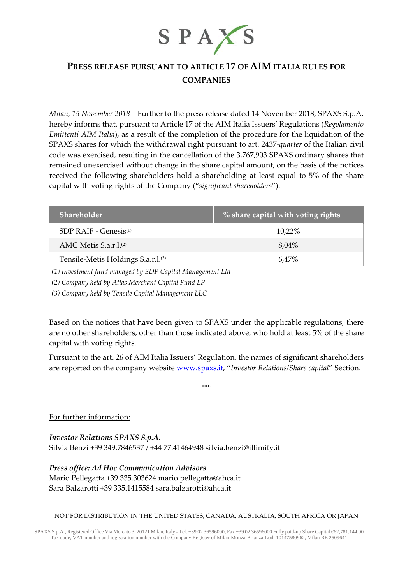

# **PRESS RELEASE PURSUANT TO ARTICLE 17 OF AIM ITALIA RULES FOR COMPANIES**

*Milan, 15 November 2018* – Further to the press release dated 14 November 2018, SPAXS S.p.A. hereby informs that, pursuant to Article 17 of the AIM Italia Issuers' Regulations (*Regolamento Emittenti AIM Italia*), as a result of the completion of the procedure for the liquidation of the SPAXS shares for which the withdrawal right pursuant to art. 2437-*quarter* of the Italian civil code was exercised, resulting in the cancellation of the 3,767,903 SPAXS ordinary shares that remained unexercised without change in the share capital amount, on the basis of the notices received the following shareholders hold a shareholding at least equal to 5% of the share capital with voting rights of the Company ("*significant shareholders*"):

| Shareholder                                    | $\%$ share capital with voting rights |
|------------------------------------------------|---------------------------------------|
| $SDP RAIF - Genesis(1)$                        | 10,22%                                |
| AMC Metis $S.a.r.l.(2)$                        | 8,04%                                 |
| Tensile-Metis Holdings S.a.r.l. <sup>(3)</sup> | 6.47%                                 |

*(1) Investment fund managed by SDP Capital Management Ltd*

*(2) Company held by Atlas Merchant Capital Fund LP*

*(3) Company held by Tensile Capital Management LLC*

Based on the notices that have been given to SPAXS under the applicable regulations, there are no other shareholders, other than those indicated above, who hold at least 5% of the share capital with voting rights.

Pursuant to the art. 26 of AIM Italia Issuers' Regulation, the names of significant shareholders are reported on the company website [www.spaxs.it,](http://www.spaxs.it/) "*Investor Relations/Share capital*" Section.

\*\*\*

For further information:

*Investor Relations SPAXS S.p.A.* Silvia Benzi +39 349.7846537 / +44 77.41464948 silvia.benzi@illimity.it

*Press office: Ad Hoc Communication Advisors* Mario Pellegatta +39 335.303624 [mario.pellegatta@ahca.it](mailto:mario.pellegatta@ahca.it) Sara Balzarotti +39 335.1415584 [sara.balzarotti@ahca.it](mailto:sara.balzarotti@ahca.it)

# NOT FOR DISTRIBUTION IN THE UNITED STATES, CANADA, AUSTRALIA, SOUTH AFRICA OR JAPAN